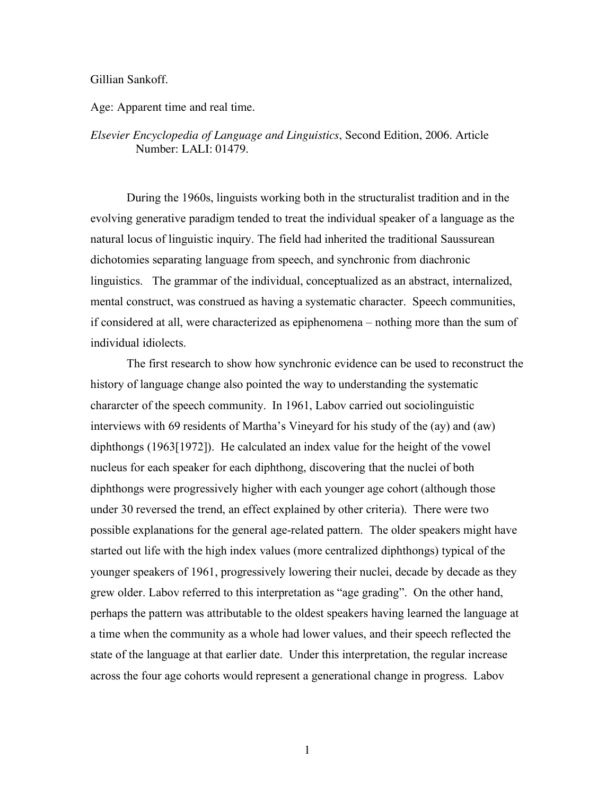## Gillian Sankoff.

Age: Apparent time and real time.

## *Elsevier Encyclopedia of Language and Linguistics*, Second Edition, 2006. Article Number: LALI: 01479.

During the 1960s, linguists working both in the structuralist tradition and in the evolving generative paradigm tended to treat the individual speaker of a language as the natural locus of linguistic inquiry. The field had inherited the traditional Saussurean dichotomies separating language from speech, and synchronic from diachronic linguistics. The grammar of the individual, conceptualized as an abstract, internalized, mental construct, was construed as having a systematic character. Speech communities, if considered at all, were characterized as epiphenomena – nothing more than the sum of individual idiolects.

The first research to show how synchronic evidence can be used to reconstruct the history of language change also pointed the way to understanding the systematic chararcter of the speech community. In 1961, Labov carried out sociolinguistic interviews with 69 residents of Martha's Vineyard for his study of the (ay) and (aw) diphthongs (1963[1972]). He calculated an index value for the height of the vowel nucleus for each speaker for each diphthong, discovering that the nuclei of both diphthongs were progressively higher with each younger age cohort (although those under 30 reversed the trend, an effect explained by other criteria). There were two possible explanations for the general age-related pattern. The older speakers might have started out life with the high index values (more centralized diphthongs) typical of the younger speakers of 1961, progressively lowering their nuclei, decade by decade as they grew older. Labov referred to this interpretation as "age grading". On the other hand, perhaps the pattern was attributable to the oldest speakers having learned the language at a time when the community as a whole had lower values, and their speech reflected the state of the language at that earlier date. Under this interpretation, the regular increase across the four age cohorts would represent a generational change in progress. Labov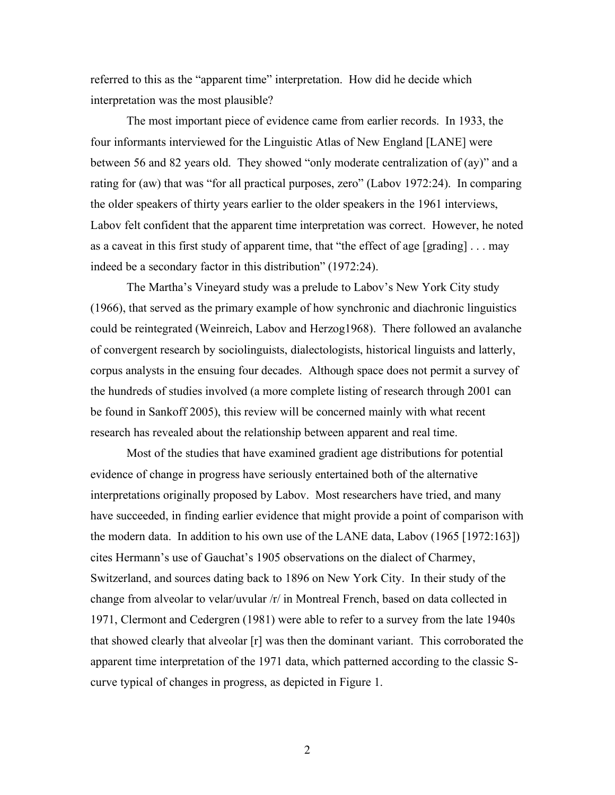referred to this as the "apparent time" interpretation. How did he decide which interpretation was the most plausible?

The most important piece of evidence came from earlier records. In 1933, the four informants interviewed for the Linguistic Atlas of New England [LANE] were between 56 and 82 years old. They showed "only moderate centralization of (ay)" and a rating for (aw) that was "for all practical purposes, zero" (Labov 1972:24). In comparing the older speakers of thirty years earlier to the older speakers in the 1961 interviews, Labov felt confident that the apparent time interpretation was correct. However, he noted as a caveat in this first study of apparent time, that "the effect of age [grading] . . . may indeed be a secondary factor in this distribution" (1972:24).

The Martha's Vineyard study was a prelude to Labov's New York City study (1966), that served as the primary example of how synchronic and diachronic linguistics could be reintegrated (Weinreich, Labov and Herzog1968). There followed an avalanche of convergent research by sociolinguists, dialectologists, historical linguists and latterly, corpus analysts in the ensuing four decades. Although space does not permit a survey of the hundreds of studies involved (a more complete listing of research through 2001 can be found in Sankoff 2005), this review will be concerned mainly with what recent research has revealed about the relationship between apparent and real time.

Most of the studies that have examined gradient age distributions for potential evidence of change in progress have seriously entertained both of the alternative interpretations originally proposed by Labov. Most researchers have tried, and many have succeeded, in finding earlier evidence that might provide a point of comparison with the modern data. In addition to his own use of the LANE data, Labov (1965 [1972:163]) cites Hermann's use of Gauchat's 1905 observations on the dialect of Charmey, Switzerland, and sources dating back to 1896 on New York City. In their study of the change from alveolar to velar/uvular /r/ in Montreal French, based on data collected in 1971, Clermont and Cedergren (1981) were able to refer to a survey from the late 1940s that showed clearly that alveolar [r] was then the dominant variant. This corroborated the apparent time interpretation of the 1971 data, which patterned according to the classic Scurve typical of changes in progress, as depicted in Figure 1.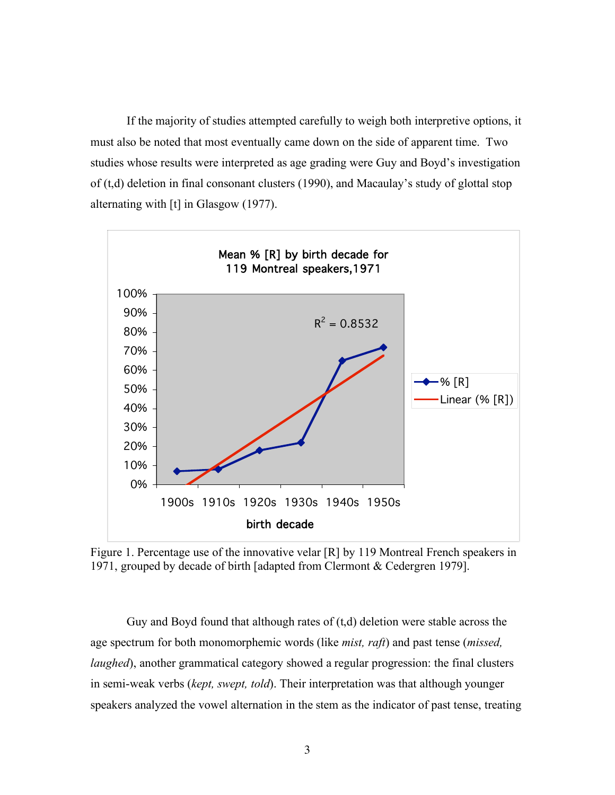If the majority of studies attempted carefully to weigh both interpretive options, it must also be noted that most eventually came down on the side of apparent time. Two studies whose results were interpreted as age grading were Guy and Boyd's investigation of (t,d) deletion in final consonant clusters (1990), and Macaulay's study of glottal stop alternating with [t] in Glasgow (1977).



Figure 1. Percentage use of the innovative velar [R] by 119 Montreal French speakers in 1971, grouped by decade of birth [adapted from Clermont & Cedergren 1979].

Guy and Boyd found that although rates of  $(t,d)$  deletion were stable across the age spectrum for both monomorphemic words (like *mist, raft*) and past tense (*missed, laughed*), another grammatical category showed a regular progression: the final clusters in semi-weak verbs (*kept, swept, told*). Their interpretation was that although younger speakers analyzed the vowel alternation in the stem as the indicator of past tense, treating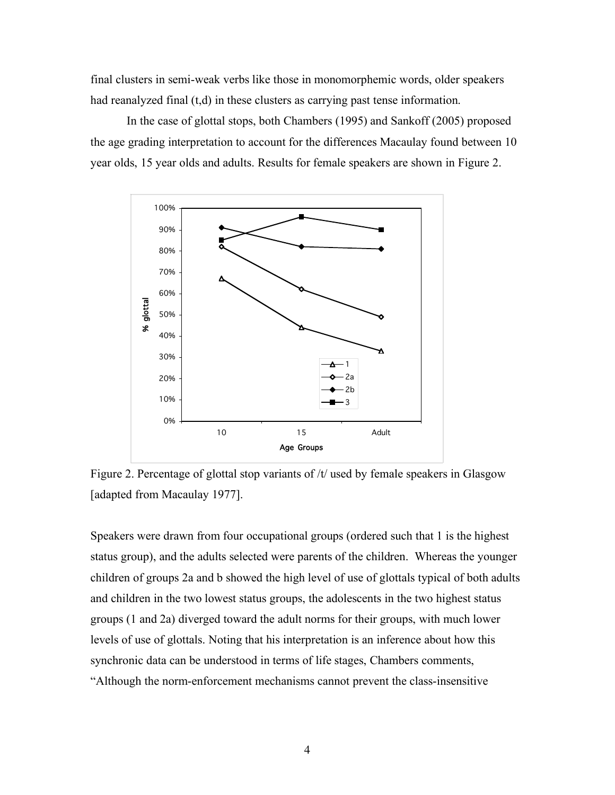final clusters in semi-weak verbs like those in monomorphemic words, older speakers had reanalyzed final (t,d) in these clusters as carrying past tense information.

In the case of glottal stops, both Chambers (1995) and Sankoff (2005) proposed the age grading interpretation to account for the differences Macaulay found between 10 year olds, 15 year olds and adults. Results for female speakers are shown in Figure 2.



Figure 2. Percentage of glottal stop variants of /t/ used by female speakers in Glasgow [adapted from Macaulay 1977].

Speakers were drawn from four occupational groups (ordered such that 1 is the highest status group), and the adults selected were parents of the children. Whereas the younger children of groups 2a and b showed the high level of use of glottals typical of both adults and children in the two lowest status groups, the adolescents in the two highest status groups (1 and 2a) diverged toward the adult norms for their groups, with much lower levels of use of glottals. Noting that his interpretation is an inference about how this synchronic data can be understood in terms of life stages, Chambers comments, "Although the norm-enforcement mechanisms cannot prevent the class-insensitive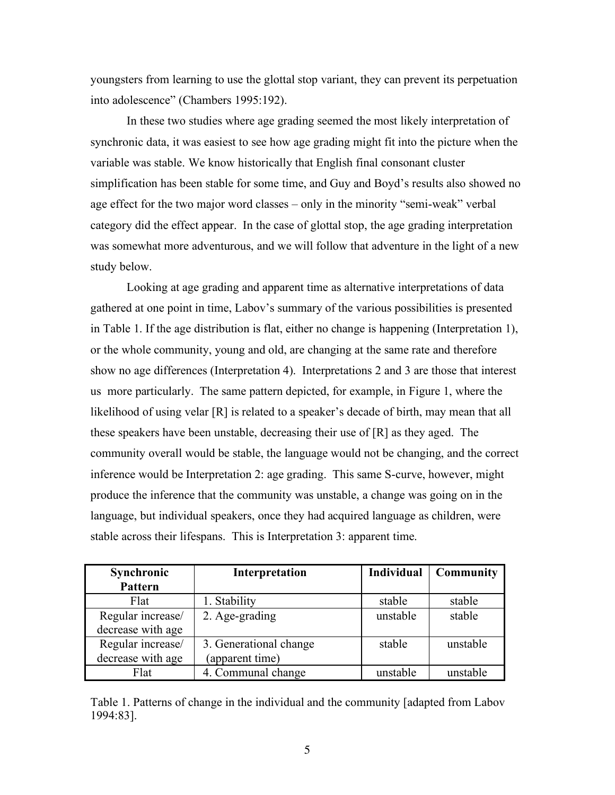youngsters from learning to use the glottal stop variant, they can prevent its perpetuation into adolescence" (Chambers 1995:192).

In these two studies where age grading seemed the most likely interpretation of synchronic data, it was easiest to see how age grading might fit into the picture when the variable was stable. We know historically that English final consonant cluster simplification has been stable for some time, and Guy and Boyd's results also showed no age effect for the two major word classes – only in the minority "semi-weak" verbal category did the effect appear. In the case of glottal stop, the age grading interpretation was somewhat more adventurous, and we will follow that adventure in the light of a new study below.

Looking at age grading and apparent time as alternative interpretations of data gathered at one point in time, Labov's summary of the various possibilities is presented in Table 1. If the age distribution is flat, either no change is happening (Interpretation 1), or the whole community, young and old, are changing at the same rate and therefore show no age differences (Interpretation 4). Interpretations 2 and 3 are those that interest us more particularly. The same pattern depicted, for example, in Figure 1, where the likelihood of using velar [R] is related to a speaker's decade of birth, may mean that all these speakers have been unstable, decreasing their use of [R] as they aged. The community overall would be stable, the language would not be changing, and the correct inference would be Interpretation 2: age grading. This same S-curve, however, might produce the inference that the community was unstable, a change was going on in the language, but individual speakers, once they had acquired language as children, were stable across their lifespans. This is Interpretation 3: apparent time.

| Synchronic        | Interpretation         | <b>Individual</b> | Community |
|-------------------|------------------------|-------------------|-----------|
| Pattern           |                        |                   |           |
| Flat              | 1. Stability           | stable            | stable    |
| Regular increase/ | 2. Age-grading         | unstable          | stable    |
| decrease with age |                        |                   |           |
| Regular increase/ | 3. Generational change | stable            | unstable  |
| decrease with age | (apparent time)        |                   |           |
| Flat              | 4. Communal change     | unstable          | unstable  |

Table 1. Patterns of change in the individual and the community [adapted from Labov 1994:83].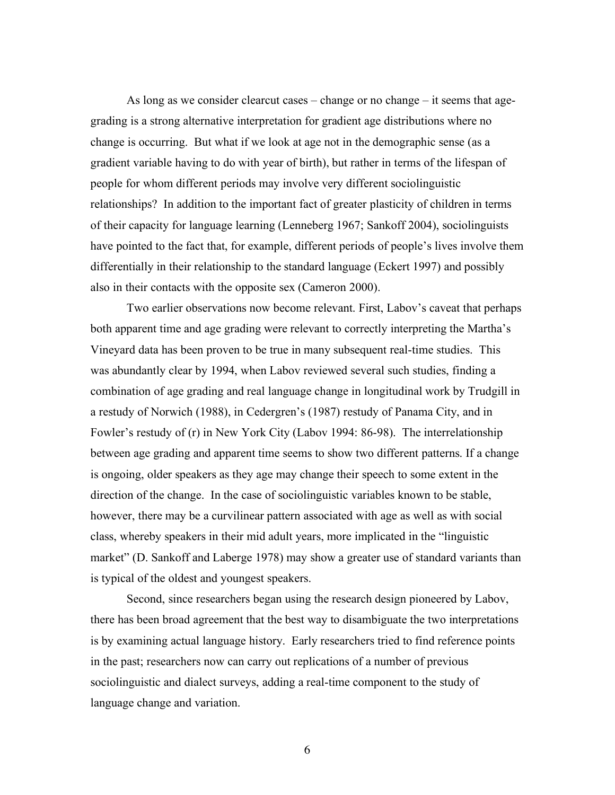As long as we consider clearcut cases – change or no change – it seems that agegrading is a strong alternative interpretation for gradient age distributions where no change is occurring. But what if we look at age not in the demographic sense (as a gradient variable having to do with year of birth), but rather in terms of the lifespan of people for whom different periods may involve very different sociolinguistic relationships? In addition to the important fact of greater plasticity of children in terms of their capacity for language learning (Lenneberg 1967; Sankoff 2004), sociolinguists have pointed to the fact that, for example, different periods of people's lives involve them differentially in their relationship to the standard language (Eckert 1997) and possibly also in their contacts with the opposite sex (Cameron 2000).

Two earlier observations now become relevant. First, Labov's caveat that perhaps both apparent time and age grading were relevant to correctly interpreting the Martha's Vineyard data has been proven to be true in many subsequent real-time studies. This was abundantly clear by 1994, when Labov reviewed several such studies, finding a combination of age grading and real language change in longitudinal work by Trudgill in a restudy of Norwich (1988), in Cedergren's (1987) restudy of Panama City, and in Fowler's restudy of (r) in New York City (Labov 1994: 86-98). The interrelationship between age grading and apparent time seems to show two different patterns. If a change is ongoing, older speakers as they age may change their speech to some extent in the direction of the change. In the case of sociolinguistic variables known to be stable, however, there may be a curvilinear pattern associated with age as well as with social class, whereby speakers in their mid adult years, more implicated in the "linguistic market" (D. Sankoff and Laberge 1978) may show a greater use of standard variants than is typical of the oldest and youngest speakers.

Second, since researchers began using the research design pioneered by Labov, there has been broad agreement that the best way to disambiguate the two interpretations is by examining actual language history. Early researchers tried to find reference points in the past; researchers now can carry out replications of a number of previous sociolinguistic and dialect surveys, adding a real-time component to the study of language change and variation.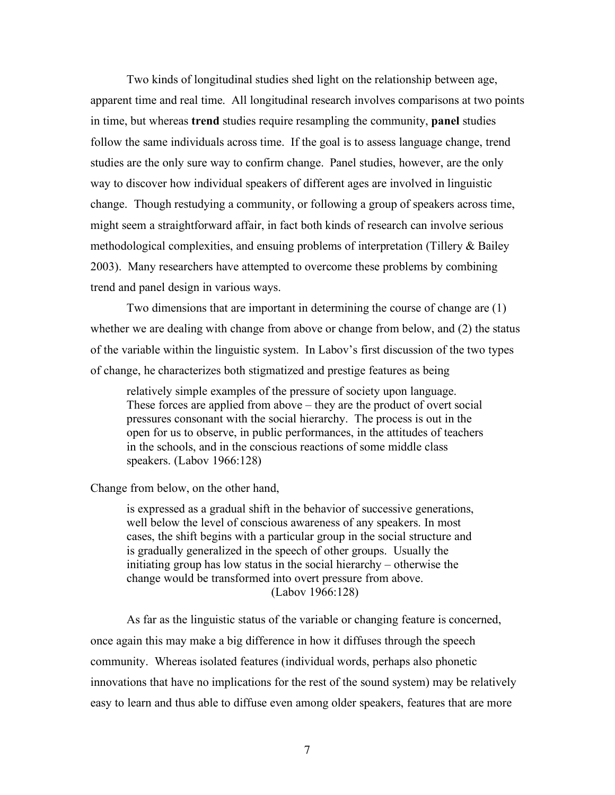Two kinds of longitudinal studies shed light on the relationship between age, apparent time and real time. All longitudinal research involves comparisons at two points in time, but whereas **trend** studies require resampling the community, **panel** studies follow the same individuals across time. If the goal is to assess language change, trend studies are the only sure way to confirm change. Panel studies, however, are the only way to discover how individual speakers of different ages are involved in linguistic change. Though restudying a community, or following a group of speakers across time, might seem a straightforward affair, in fact both kinds of research can involve serious methodological complexities, and ensuing problems of interpretation (Tillery & Bailey 2003). Many researchers have attempted to overcome these problems by combining trend and panel design in various ways.

Two dimensions that are important in determining the course of change are (1) whether we are dealing with change from above or change from below, and (2) the status of the variable within the linguistic system. In Labov's first discussion of the two types of change, he characterizes both stigmatized and prestige features as being

relatively simple examples of the pressure of society upon language. These forces are applied from above – they are the product of overt social pressures consonant with the social hierarchy. The process is out in the open for us to observe, in public performances, in the attitudes of teachers in the schools, and in the conscious reactions of some middle class speakers. (Labov 1966:128)

Change from below, on the other hand,

is expressed as a gradual shift in the behavior of successive generations, well below the level of conscious awareness of any speakers. In most cases, the shift begins with a particular group in the social structure and is gradually generalized in the speech of other groups. Usually the initiating group has low status in the social hierarchy – otherwise the change would be transformed into overt pressure from above. (Labov 1966:128)

As far as the linguistic status of the variable or changing feature is concerned, once again this may make a big difference in how it diffuses through the speech community. Whereas isolated features (individual words, perhaps also phonetic innovations that have no implications for the rest of the sound system) may be relatively easy to learn and thus able to diffuse even among older speakers, features that are more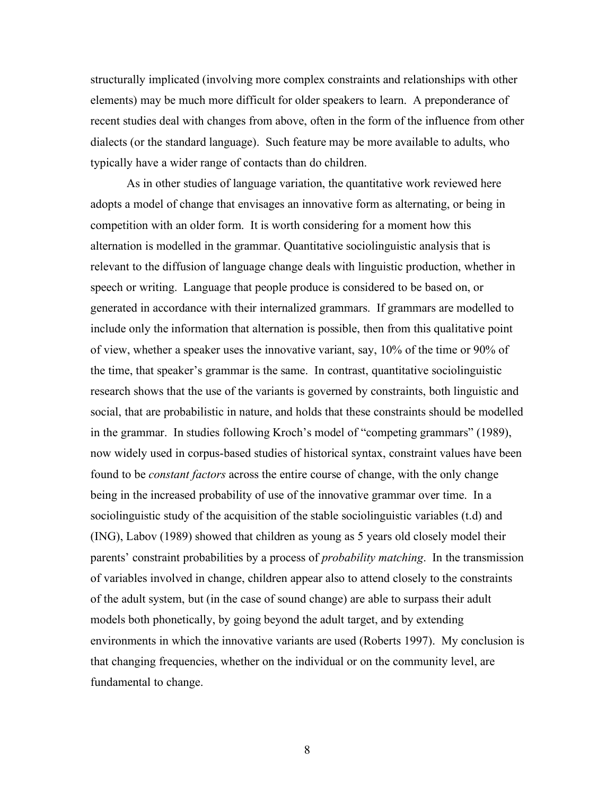structurally implicated (involving more complex constraints and relationships with other elements) may be much more difficult for older speakers to learn. A preponderance of recent studies deal with changes from above, often in the form of the influence from other dialects (or the standard language). Such feature may be more available to adults, who typically have a wider range of contacts than do children.

As in other studies of language variation, the quantitative work reviewed here adopts a model of change that envisages an innovative form as alternating, or being in competition with an older form. It is worth considering for a moment how this alternation is modelled in the grammar. Quantitative sociolinguistic analysis that is relevant to the diffusion of language change deals with linguistic production, whether in speech or writing. Language that people produce is considered to be based on, or generated in accordance with their internalized grammars. If grammars are modelled to include only the information that alternation is possible, then from this qualitative point of view, whether a speaker uses the innovative variant, say, 10% of the time or 90% of the time, that speaker's grammar is the same. In contrast, quantitative sociolinguistic research shows that the use of the variants is governed by constraints, both linguistic and social, that are probabilistic in nature, and holds that these constraints should be modelled in the grammar. In studies following Kroch's model of "competing grammars" (1989), now widely used in corpus-based studies of historical syntax, constraint values have been found to be *constant factors* across the entire course of change, with the only change being in the increased probability of use of the innovative grammar over time. In a sociolinguistic study of the acquisition of the stable sociolinguistic variables (t.d) and (ING), Labov (1989) showed that children as young as 5 years old closely model their parents' constraint probabilities by a process of *probability matching*. In the transmission of variables involved in change, children appear also to attend closely to the constraints of the adult system, but (in the case of sound change) are able to surpass their adult models both phonetically, by going beyond the adult target, and by extending environments in which the innovative variants are used (Roberts 1997). My conclusion is that changing frequencies, whether on the individual or on the community level, are fundamental to change.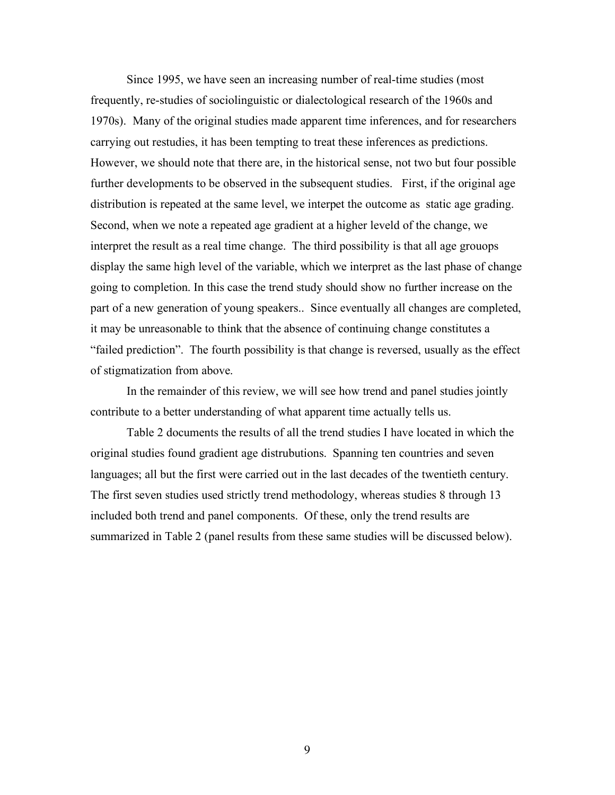Since 1995, we have seen an increasing number of real-time studies (most frequently, re-studies of sociolinguistic or dialectological research of the 1960s and 1970s). Many of the original studies made apparent time inferences, and for researchers carrying out restudies, it has been tempting to treat these inferences as predictions. However, we should note that there are, in the historical sense, not two but four possible further developments to be observed in the subsequent studies. First, if the original age distribution is repeated at the same level, we interpet the outcome as static age grading. Second, when we note a repeated age gradient at a higher leveld of the change, we interpret the result as a real time change. The third possibility is that all age grouops display the same high level of the variable, which we interpret as the last phase of change going to completion. In this case the trend study should show no further increase on the part of a new generation of young speakers.. Since eventually all changes are completed, it may be unreasonable to think that the absence of continuing change constitutes a "failed prediction". The fourth possibility is that change is reversed, usually as the effect of stigmatization from above.

In the remainder of this review, we will see how trend and panel studies jointly contribute to a better understanding of what apparent time actually tells us.

Table 2 documents the results of all the trend studies I have located in which the original studies found gradient age distrubutions. Spanning ten countries and seven languages; all but the first were carried out in the last decades of the twentieth century. The first seven studies used strictly trend methodology, whereas studies 8 through 13 included both trend and panel components. Of these, only the trend results are summarized in Table 2 (panel results from these same studies will be discussed below).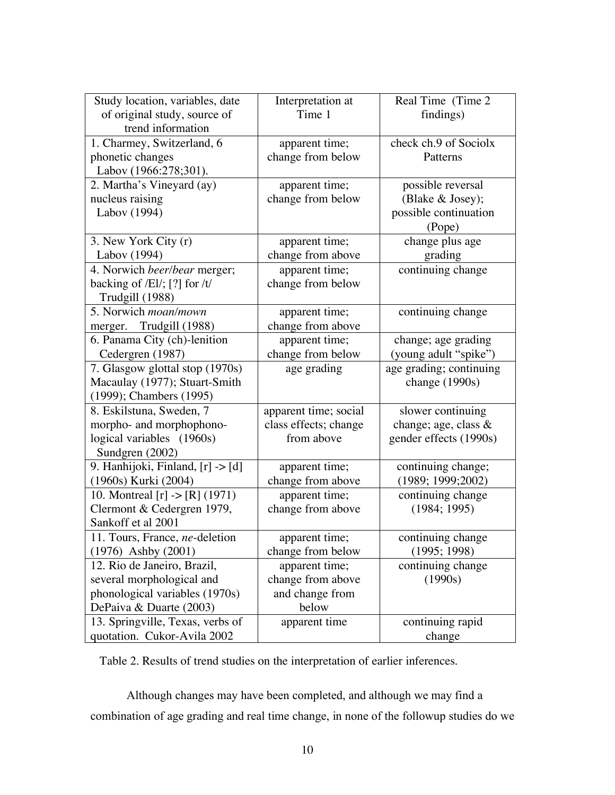| Study location, variables, date           | Interpretation at     | Real Time (Time 2       |  |
|-------------------------------------------|-----------------------|-------------------------|--|
| of original study, source of              | Time 1                | findings)               |  |
| trend information                         |                       |                         |  |
| 1. Charmey, Switzerland, 6                | apparent time;        | check ch.9 of Sociolx   |  |
| phonetic changes                          | change from below     | Patterns                |  |
| Labov (1966:278;301).                     |                       |                         |  |
| 2. Martha's Vineyard (ay)                 | apparent time;        | possible reversal       |  |
| nucleus raising                           | change from below     | (Blake & Josey);        |  |
| Labov (1994)                              |                       | possible continuation   |  |
|                                           |                       | (Pope)                  |  |
| 3. New York City (r)                      | apparent time;        | change plus age         |  |
| Labov (1994)                              | change from above     | grading                 |  |
| 4. Norwich beer/bear merger;              | apparent time;        | continuing change       |  |
| backing of $/El/$ ; [?] for $/t/$         | change from below     |                         |  |
| Trudgill (1988)                           |                       |                         |  |
| 5. Norwich moan/mown                      | apparent time;        | continuing change       |  |
| merger. Trudgill (1988)                   | change from above     |                         |  |
| 6. Panama City (ch)-lenition              | apparent time;        | change; age grading     |  |
| Cedergren (1987)                          | change from below     | (young adult "spike")   |  |
| 7. Glasgow glottal stop (1970s)           | age grading           | age grading; continuing |  |
| Macaulay (1977); Stuart-Smith             |                       | change (1990s)          |  |
| (1999); Chambers (1995)                   |                       |                         |  |
| 8. Eskilstuna, Sweden, 7                  | apparent time; social | slower continuing       |  |
| morpho- and morphophono-                  | class effects; change | change; age, class &    |  |
| logical variables (1960s)                 | from above            | gender effects (1990s)  |  |
| Sundgren (2002)                           |                       |                         |  |
| 9. Hanhijoki, Finland, [r] -> [d]         | apparent time;        | continuing change;      |  |
| (1960s) Kurki (2004)                      | change from above     | (1989; 1999; 2002)      |  |
| 10. Montreal $[r] \rightarrow [R] (1971)$ | apparent time;        | continuing change       |  |
| Clermont & Cedergren 1979,                | change from above     | (1984; 1995)            |  |
| Sankoff et al 2001                        |                       |                         |  |
| 11. Tours, France, ne-deletion            | apparent time;        | continuing change       |  |
| $(1976)$ Ashby $(2001)$                   | change from below     | (1995; 1998)            |  |
| 12. Rio de Janeiro, Brazil,               | apparent time;        | continuing change       |  |
| several morphological and                 | change from above     | (1990s)                 |  |
| phonological variables (1970s)            | and change from       |                         |  |
| DePaiva & Duarte (2003)                   | below                 |                         |  |
| 13. Springville, Texas, verbs of          | apparent time         | continuing rapid        |  |
| quotation. Cukor-Avila 2002               |                       | change                  |  |

Table 2. Results of trend studies on the interpretation of earlier inferences.

Although changes may have been completed, and although we may find a combination of age grading and real time change, in none of the followup studies do we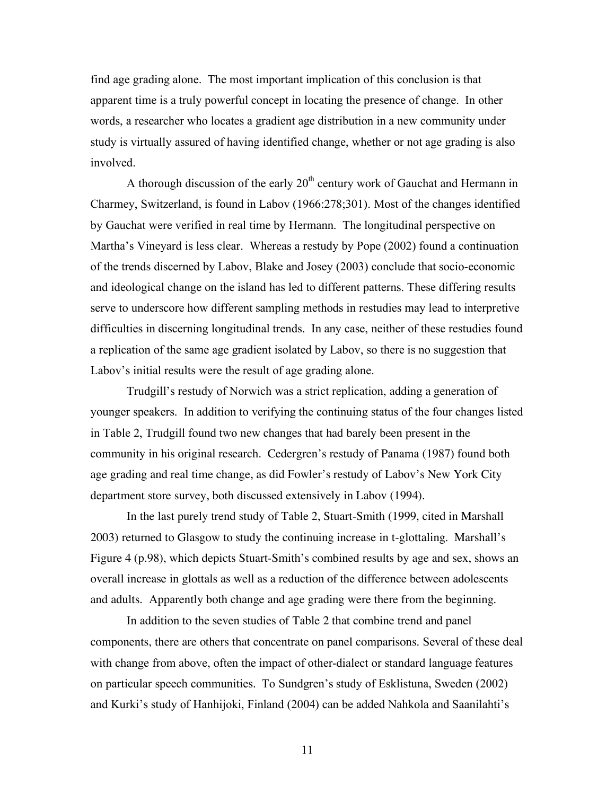find age grading alone. The most important implication of this conclusion is that apparent time is a truly powerful concept in locating the presence of change. In other words, a researcher who locates a gradient age distribution in a new community under study is virtually assured of having identified change, whether or not age grading is also involved.

A thorough discussion of the early  $20<sup>th</sup>$  century work of Gauchat and Hermann in Charmey, Switzerland, is found in Labov (1966:278;301). Most of the changes identified by Gauchat were verified in real time by Hermann. The longitudinal perspective on Martha's Vineyard is less clear. Whereas a restudy by Pope (2002) found a continuation of the trends discerned by Labov, Blake and Josey (2003) conclude that socio-economic and ideological change on the island has led to different patterns. These differing results serve to underscore how different sampling methods in restudies may lead to interpretive difficulties in discerning longitudinal trends. In any case, neither of these restudies found a replication of the same age gradient isolated by Labov, so there is no suggestion that Labov's initial results were the result of age grading alone.

Trudgill's restudy of Norwich was a strict replication, adding a generation of younger speakers. In addition to verifying the continuing status of the four changes listed in Table 2, Trudgill found two new changes that had barely been present in the community in his original research. Cedergren's restudy of Panama (1987) found both age grading and real time change, as did Fowler's restudy of Labov's New York City department store survey, both discussed extensively in Labov (1994).

In the last purely trend study of Table 2, Stuart-Smith (1999, cited in Marshall 2003) returned to Glasgow to study the continuing increase in t-glottaling. Marshall's Figure 4 (p.98), which depicts Stuart-Smith's combined results by age and sex, shows an overall increase in glottals as well as a reduction of the difference between adolescents and adults. Apparently both change and age grading were there from the beginning.

In addition to the seven studies of Table 2 that combine trend and panel components, there are others that concentrate on panel comparisons. Several of these deal with change from above, often the impact of other-dialect or standard language features on particular speech communities. To Sundgren's study of Esklistuna, Sweden (2002) and Kurki's study of Hanhijoki, Finland (2004) can be added Nahkola and Saanilahti's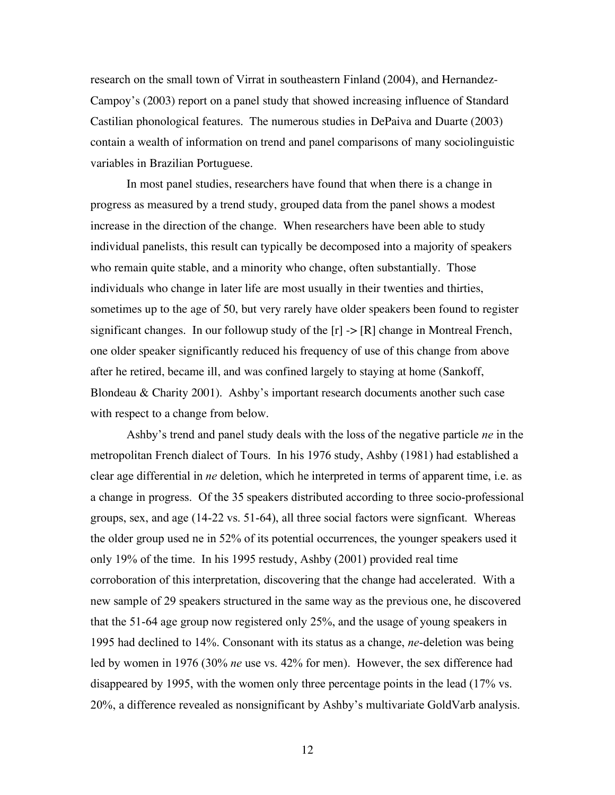research on the small town of Virrat in southeastern Finland (2004), and Hernandez-Campoy's (2003) report on a panel study that showed increasing influence of Standard Castilian phonological features. The numerous studies in DePaiva and Duarte (2003) contain a wealth of information on trend and panel comparisons of many sociolinguistic variables in Brazilian Portuguese.

In most panel studies, researchers have found that when there is a change in progress as measured by a trend study, grouped data from the panel shows a modest increase in the direction of the change. When researchers have been able to study individual panelists, this result can typically be decomposed into a majority of speakers who remain quite stable, and a minority who change, often substantially. Those individuals who change in later life are most usually in their twenties and thirties, sometimes up to the age of 50, but very rarely have older speakers been found to register significant changes. In our followup study of the  $[r] \rightarrow [R]$  change in Montreal French, one older speaker significantly reduced his frequency of use of this change from above after he retired, became ill, and was confined largely to staying at home (Sankoff, Blondeau & Charity 2001). Ashby's important research documents another such case with respect to a change from below.

Ashby's trend and panel study deals with the loss of the negative particle *ne* in the metropolitan French dialect of Tours. In his 1976 study, Ashby (1981) had established a clear age differential in *ne* deletion, which he interpreted in terms of apparent time, i.e. as a change in progress. Of the 35 speakers distributed according to three socio-professional groups, sex, and age (14-22 vs. 51-64), all three social factors were signficant. Whereas the older group used ne in 52% of its potential occurrences, the younger speakers used it only 19% of the time. In his 1995 restudy, Ashby (2001) provided real time corroboration of this interpretation, discovering that the change had accelerated. With a new sample of 29 speakers structured in the same way as the previous one, he discovered that the 51-64 age group now registered only 25%, and the usage of young speakers in 1995 had declined to 14%. Consonant with its status as a change, *ne*-deletion was being led by women in 1976 (30% *ne* use vs. 42% for men). However, the sex difference had disappeared by 1995, with the women only three percentage points in the lead (17% vs. 20%, a difference revealed as nonsignificant by Ashby's multivariate GoldVarb analysis.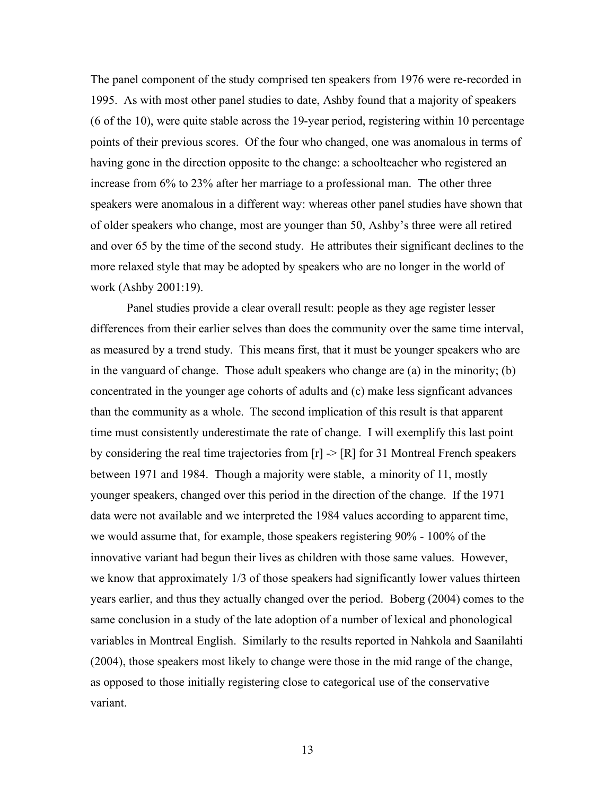The panel component of the study comprised ten speakers from 1976 were re-recorded in 1995. As with most other panel studies to date, Ashby found that a majority of speakers (6 of the 10), were quite stable across the 19-year period, registering within 10 percentage points of their previous scores. Of the four who changed, one was anomalous in terms of having gone in the direction opposite to the change: a schoolteacher who registered an increase from 6% to 23% after her marriage to a professional man. The other three speakers were anomalous in a different way: whereas other panel studies have shown that of older speakers who change, most are younger than 50, Ashby's three were all retired and over 65 by the time of the second study. He attributes their significant declines to the more relaxed style that may be adopted by speakers who are no longer in the world of work (Ashby 2001:19).

Panel studies provide a clear overall result: people as they age register lesser differences from their earlier selves than does the community over the same time interval, as measured by a trend study. This means first, that it must be younger speakers who are in the vanguard of change. Those adult speakers who change are (a) in the minority; (b) concentrated in the younger age cohorts of adults and (c) make less signficant advances than the community as a whole. The second implication of this result is that apparent time must consistently underestimate the rate of change. I will exemplify this last point by considering the real time trajectories from  $[r] \rightarrow [R]$  for 31 Montreal French speakers between 1971 and 1984. Though a majority were stable, a minority of 11, mostly younger speakers, changed over this period in the direction of the change. If the 1971 data were not available and we interpreted the 1984 values according to apparent time, we would assume that, for example, those speakers registering 90% - 100% of the innovative variant had begun their lives as children with those same values. However, we know that approximately 1/3 of those speakers had significantly lower values thirteen years earlier, and thus they actually changed over the period. Boberg (2004) comes to the same conclusion in a study of the late adoption of a number of lexical and phonological variables in Montreal English. Similarly to the results reported in Nahkola and Saanilahti (2004), those speakers most likely to change were those in the mid range of the change, as opposed to those initially registering close to categorical use of the conservative variant.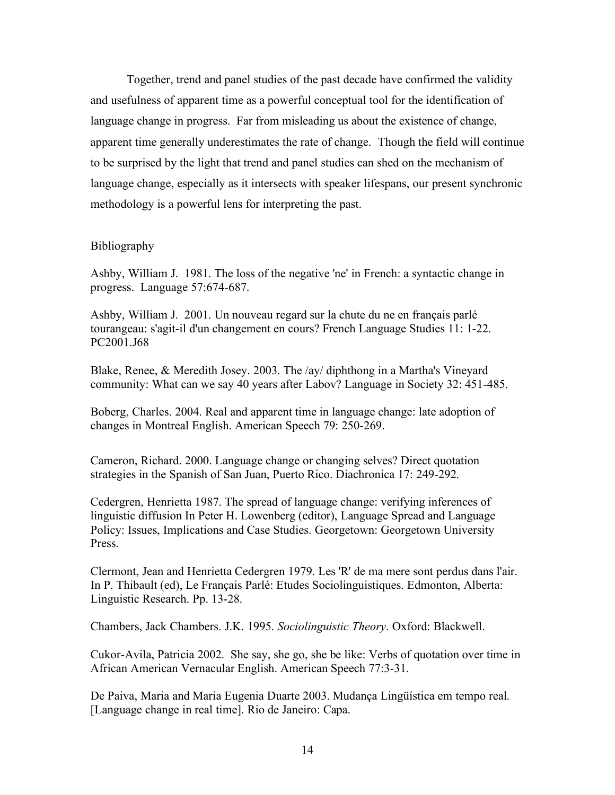Together, trend and panel studies of the past decade have confirmed the validity and usefulness of apparent time as a powerful conceptual tool for the identification of language change in progress. Far from misleading us about the existence of change, apparent time generally underestimates the rate of change. Though the field will continue to be surprised by the light that trend and panel studies can shed on the mechanism of language change, especially as it intersects with speaker lifespans, our present synchronic methodology is a powerful lens for interpreting the past.

## Bibliography

Ashby, William J. 1981. The loss of the negative 'ne' in French: a syntactic change in progress. Language 57:674-687.

Ashby, William J. 2001. Un nouveau regard sur la chute du ne en français parlé tourangeau: s'agit-il d'un changement en cours? French Language Studies 11: 1-22. PC2001.J68

Blake, Renee, & Meredith Josey. 2003. The /ay/ diphthong in a Martha's Vineyard community: What can we say 40 years after Labov? Language in Society 32: 451-485.

Boberg, Charles. 2004. Real and apparent time in language change: late adoption of changes in Montreal English. American Speech 79: 250-269.

Cameron, Richard. 2000. Language change or changing selves? Direct quotation strategies in the Spanish of San Juan, Puerto Rico. Diachronica 17: 249-292.

Cedergren, Henrietta 1987. The spread of language change: verifying inferences of linguistic diffusion In Peter H. Lowenberg (editor), Language Spread and Language Policy: Issues, Implications and Case Studies. Georgetown: Georgetown University **Press**.

Clermont, Jean and Henrietta Cedergren 1979. Les 'R' de ma mere sont perdus dans l'air. In P. Thibault (ed), Le Français Parlé: Etudes Sociolinguistiques. Edmonton, Alberta: Linguistic Research. Pp. 13-28.

Chambers, Jack Chambers. J.K. 1995. *Sociolinguistic Theory*. Oxford: Blackwell.

Cukor-Avila, Patricia 2002. She say, she go, she be like: Verbs of quotation over time in African American Vernacular English. American Speech 77:3-31.

De Paiva, Maria and Maria Eugenia Duarte 2003. Mudança Lingüística em tempo real. [Language change in real time]. Rio de Janeiro: Capa.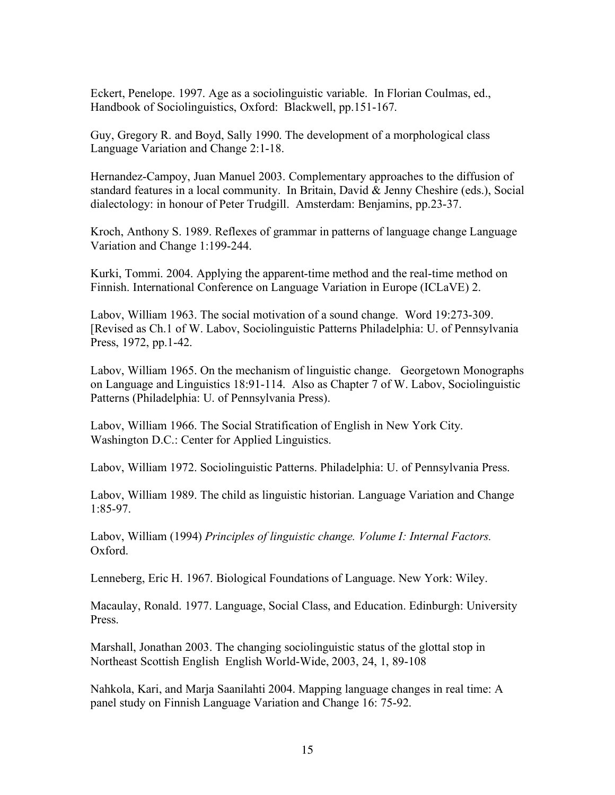Eckert, Penelope. 1997. Age as a sociolinguistic variable. In Florian Coulmas, ed., Handbook of Sociolinguistics, Oxford: Blackwell, pp.151-167.

Guy, Gregory R. and Boyd, Sally 1990. The development of a morphological class Language Variation and Change 2:1-18.

Hernandez-Campoy, Juan Manuel 2003. Complementary approaches to the diffusion of standard features in a local community. In Britain, David & Jenny Cheshire (eds.), Social dialectology: in honour of Peter Trudgill. Amsterdam: Benjamins, pp.23-37.

Kroch, Anthony S. 1989. Reflexes of grammar in patterns of language change Language Variation and Change 1:199-244.

Kurki, Tommi. 2004. Applying the apparent-time method and the real-time method on Finnish. International Conference on Language Variation in Europe (ICLaVE) 2.

Labov, William 1963. The social motivation of a sound change. Word 19:273-309. [Revised as Ch.1 of W. Labov, Sociolinguistic Patterns Philadelphia: U. of Pennsylvania Press, 1972, pp.1-42.

Labov, William 1965. On the mechanism of linguistic change. Georgetown Monographs on Language and Linguistics 18:91-114. Also as Chapter 7 of W. Labov, Sociolinguistic Patterns (Philadelphia: U. of Pennsylvania Press).

Labov, William 1966. The Social Stratification of English in New York City. Washington D.C.: Center for Applied Linguistics.

Labov, William 1972. Sociolinguistic Patterns. Philadelphia: U. of Pennsylvania Press.

Labov, William 1989. The child as linguistic historian. Language Variation and Change 1:85-97.

Labov, William (1994) *Principles of linguistic change. Volume I: Internal Factors.* Oxford.

Lenneberg, Eric H. 1967. Biological Foundations of Language. New York: Wiley.

Macaulay, Ronald. 1977. Language, Social Class, and Education. Edinburgh: University Press.

Marshall, Jonathan 2003. The changing sociolinguistic status of the glottal stop in Northeast Scottish English English World-Wide, 2003, 24, 1, 89-108

Nahkola, Kari, and Marja Saanilahti 2004. Mapping language changes in real time: A panel study on Finnish Language Variation and Change 16: 75-92.